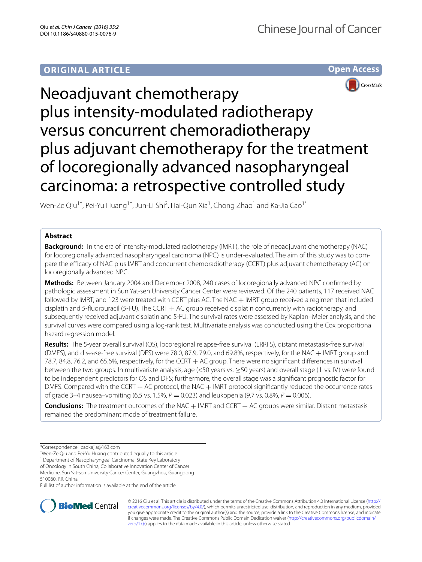# **ORIGINAL ARTICLE**





Wen-Ze Qiu $^{1\dagger}$ , Pei-Yu Huang $^{1\dagger}$ , Jun-Li Shi $^2$ , Hai-Qun Xia $^1$ , Chong Zhao $^1$  and Ka-Jia Cao $^{1*}$ 

# **Abstract**

**Background:** In the era of intensity-modulated radiotherapy (IMRT), the role of neoadjuvant chemotherapy (NAC) for locoregionally advanced nasopharyngeal carcinoma (NPC) is under-evaluated. The aim of this study was to compare the efficacy of NAC plus IMRT and concurrent chemoradiotherapy (CCRT) plus adjuvant chemotherapy (AC) on locoregionally advanced NPC.

**Methods:** Between January 2004 and December 2008, 240 cases of locoregionally advanced NPC confirmed by pathologic assessment in Sun Yat-sen University Cancer Center were reviewed. Of the 240 patients, 117 received NAC followed by IMRT, and 123 were treated with CCRT plus AC. The NAC + IMRT group received a regimen that included cisplatin and 5-fluorouracil (5-FU). The CCRT + AC group received cisplatin concurrently with radiotherapy, and subsequently received adjuvant cisplatin and 5-FU. The survival rates were assessed by Kaplan–Meier analysis, and the survival curves were compared using a log-rank test. Multivariate analysis was conducted using the Cox proportional hazard regression model.

**Results:** The 5-year overall survival (OS), locoregional relapse-free survival (LRRFS), distant metastasis-free survival (DMFS), and disease-free survival (DFS) were 78.0, 87.9, 79.0, and 69.8%, respectively, for the NAC + IMRT group and 78.7, 84.8, 76.2, and 65.6%, respectively, for the CCRT + AC group. There were no significant differences in survival between the two groups. In multivariate analysis, age (<50 years vs. ≥50 years) and overall stage (III vs. IV) were found to be independent predictors for OS and DFS; furthermore, the overall stage was a significant prognostic factor for DMFS. Compared with the CCRT + AC protocol, the NAC + IMRT protocol significantly reduced the occurrence rates of grade 3–4 nausea–vomiting (6.5 vs. 1.5%, *P* = 0.023) and leukopenia (9.7 vs. 0.8%, *P* = 0.006).

**Conclusions:** The treatment outcomes of the NAC + IMRT and CCRT + AC groups were similar. Distant metastasis remained the predominant mode of treatment failure.

Medicine, Sun Yat-sen University Cancer Center, Guangzhou, Guangdong 510060, P.R. China

Full list of author information is available at the end of the article



© 2016 Qiu et al. This article is distributed under the terms of the Creative Commons Attribution 4.0 International License [\(http://](http://creativecommons.org/licenses/by/4.0/) [creativecommons.org/licenses/by/4.0/](http://creativecommons.org/licenses/by/4.0/)), which permits unrestricted use, distribution, and reproduction in any medium, provided you give appropriate credit to the original author(s) and the source, provide a link to the Creative Commons license, and indicate if changes were made. The Creative Commons Public Domain Dedication waiver ([http://creativecommons.org/publicdomain/](http://creativecommons.org/publicdomain/zero/1.0/) [zero/1.0/](http://creativecommons.org/publicdomain/zero/1.0/)) applies to the data made available in this article, unless otherwise stated.

<sup>\*</sup>Correspondence: caokajia@163.com

<sup>†</sup> Wen-Ze Qiu and Pei-Yu Huang contributed equally to this article

<sup>&</sup>lt;sup>1</sup> Department of Nasopharyngeal Carcinoma, State Key Laboratory

of Oncology in South China, Collaborative Innovation Center of Cancer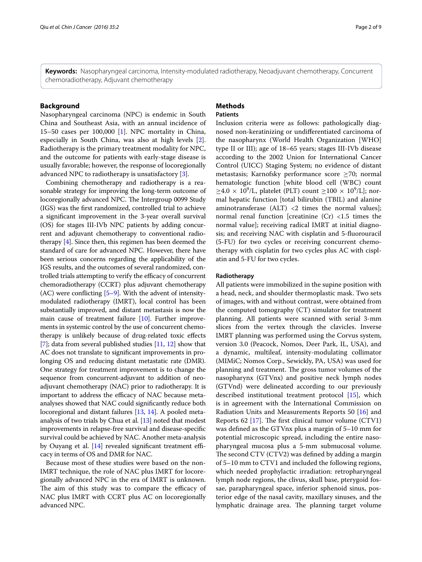**Keywords:** Nasopharyngeal carcinoma, Intensity-modulated radiotherapy, Neoadjuvant chemotherapy, Concurrent chemoradiotherapy, Adjuvant chemotherapy

#### **Background**

Nasopharyngeal carcinoma (NPC) is endemic in South China and Southeast Asia, with an annual incidence of 15–50 cases per 100,000 [[1](#page-7-0)]. NPC mortality in China, especially in South China, was also at high levels [\[2](#page-7-1)]. Radiotherapy is the primary treatment modality for NPC, and the outcome for patients with early-stage disease is usually favorable; however, the response of locoregionally advanced NPC to radiotherapy is unsatisfactory [[3\]](#page-7-2).

Combining chemotherapy and radiotherapy is a reasonable strategy for improving the long-term outcome of locoregionally advanced NPC. The Intergroup 0099 Study (IGS) was the first randomized, controlled trial to achieve a significant improvement in the 3-year overall survival (OS) for stages III-IVb NPC patients by adding concurrent and adjuvant chemotherapy to conventional radiotherapy [[4](#page-7-3)]. Since then, this regimen has been deemed the standard of care for advanced NPC. However, there have been serious concerns regarding the applicability of the IGS results, and the outcomes of several randomized, controlled trials attempting to verify the efficacy of concurrent chemoradiotherapy (CCRT) plus adjuvant chemotherapy  $(AC)$  were conflicting  $[5-9]$  $[5-9]$  $[5-9]$ . With the advent of intensitymodulated radiotherapy (IMRT), local control has been substantially improved, and distant metastasis is now the main cause of treatment failure [\[10\]](#page-7-6). Further improvements in systemic control by the use of concurrent chemotherapy is unlikely because of drug-related toxic effects [[7\]](#page-7-7); data from several published studies  $[11, 12]$  $[11, 12]$  $[11, 12]$  show that AC does not translate to significant improvements in prolonging OS and reducing distant metastatic rate (DMR). One strategy for treatment improvement is to change the sequence from concurrent-adjuvant to addition of neoadjuvant chemotherapy (NAC) prior to radiotherapy. It is important to address the efficacy of NAC because metaanalyses showed that NAC could significantly reduce both locoregional and distant failures [\[13,](#page-8-1) [14\]](#page-8-2). A pooled metaanalysis of two trials by Chua et al. [\[13](#page-8-1)] noted that modest improvements in relapse-free survival and disease-specific survival could be achieved by NAC. Another meta-analysis by Ouyang et al. [\[14](#page-8-2)] revealed significant treatment efficacy in terms of OS and DMR for NAC.

Because most of these studies were based on the non-IMRT technique, the role of NAC plus IMRT for locoregionally advanced NPC in the era of IMRT is unknown. The aim of this study was to compare the efficacy of NAC plus IMRT with CCRT plus AC on locoregionally advanced NPC.

# **Methods**

## **Patients**

Inclusion criteria were as follows: pathologically diagnosed non-keratinizing or undifferentiated carcinoma of the nasopharynx (World Health Organization [WHO] type II or III); age of 18–65 years; stages III-IVb disease according to the 2002 Union for International Cancer Control (UICC) Staging System; no evidence of distant metastasis; Karnofsky performance score ≥70; normal hematologic function [white blood cell (WBC) count  $\geq 4.0 \times 10^9$ /L, platelet (PLT) count  $\geq 100 \times 10^9$ /L]; normal hepatic function [total bilirubin (TBIL) and alanine aminotransferase  $(ALT) < 2$  times the normal values]; normal renal function [creatinine  $(Cr)$  <1.5 times the normal value]; receiving radical IMRT at initial diagnosis; and receiving NAC with cisplatin and 5-fluorouracil (5-FU) for two cycles or receiving concurrent chemotherapy with cisplatin for two cycles plus AC with cisplatin and 5-FU for two cycles.

#### **Radiotherapy**

All patients were immobilized in the supine position with a head, neck, and shoulder thermoplastic mask. Two sets of images, with and without contrast, were obtained from the computed tomography (CT) simulator for treatment planning. All patients were scanned with serial 3-mm slices from the vertex through the clavicles. Inverse IMRT planning was performed using the Corvus system, version 3.0 (Peacock, Nomos, Deer Park, IL, USA), and a dynamic, multileaf, intensity-modulating collimator (MIMiC; Nomos Corp., Sewickly, PA, USA) was used for planning and treatment. The gross tumor volumes of the nasopharynx (GTVnx) and positive neck lymph nodes (GTVnd) were delineated according to our previously described institutional treatment protocol [\[15](#page-8-3)], which is in agreement with the International Commission on Radiation Units and Measurements Reports 50 [\[16\]](#page-8-4) and Reports 62 [\[17\]](#page-8-5). The first clinical tumor volume  $(TV1)$ was defined as the GTVnx plus a margin of 5–10 mm for potential microscopic spread, including the entire nasopharyngeal mucosa plus a 5-mm submucosal volume. The second CTV (CTV2) was defined by adding a margin of 5–10 mm to CTV1 and included the following regions, which needed prophylactic irradiation: retropharyngeal lymph node regions, the clivus, skull base, pterygoid fossae, parapharyngeal space, inferior sphenoid sinus, posterior edge of the nasal cavity, maxillary sinuses, and the lymphatic drainage area. The planning target volume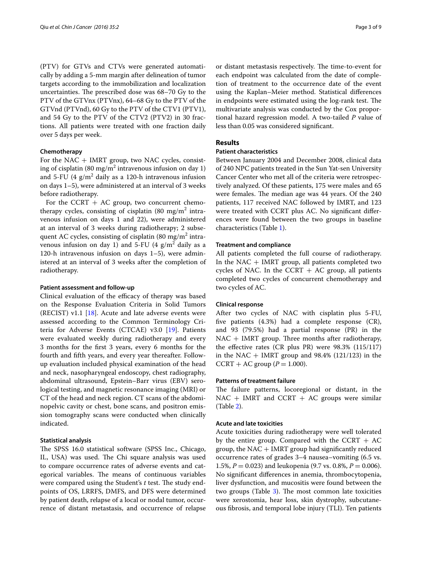(PTV) for GTVs and CTVs were generated automatically by adding a 5-mm margin after delineation of tumor targets according to the immobilization and localization uncertainties. The prescribed dose was 68–70 Gy to the PTV of the GTVnx (PTVnx), 64–68 Gy to the PTV of the GTVnd (PTVnd), 60 Gy to the PTV of the CTV1 (PTV1), and 54 Gy to the PTV of the CTV2 (PTV2) in 30 fractions. All patients were treated with one fraction daily over 5 days per week.

### **Chemotherapy**

For the NAC  $+$  IMRT group, two NAC cycles, consisting of cisplatin (80 mg/m<sup>2</sup> intravenous infusion on day 1) and 5-FU (4  $\rm g/m^2$  daily as a 120-h intravenous infusion on days 1–5), were administered at an interval of 3 weeks before radiotherapy.

For the CCRT  $+$  AC group, two concurrent chemotherapy cycles, consisting of cisplatin (80  $\mathrm{mg/m^{2}}$  intravenous infusion on days 1 and 22), were administered at an interval of 3 weeks during radiotherapy; 2 subsequent AC cycles, consisting of cisplatin (80 mg/m<sup>2</sup> intravenous infusion on day 1) and 5-FU (4  $\rm g/m^2$  daily as a 120-h intravenous infusion on days 1–5), were administered at an interval of 3 weeks after the completion of radiotherapy.

#### **Patient assessment and follow‑up**

Clinical evaluation of the efficacy of therapy was based on the Response Evaluation Criteria in Solid Tumors (RECIST) v1.1 [[18](#page-8-6)]. Acute and late adverse events were assessed according to the Common Terminology Criteria for Adverse Events (CTCAE) v3.0 [\[19](#page-8-7)]. Patients were evaluated weekly during radiotherapy and every 3 months for the first 3 years, every 6 months for the fourth and fifth years, and every year thereafter. Followup evaluation included physical examination of the head and neck, nasopharyngeal endoscopy, chest radiography, abdominal ultrasound, Epstein–Barr virus (EBV) serological testing, and magnetic resonance imaging (MRI) or CT of the head and neck region. CT scans of the abdominopelvic cavity or chest, bone scans, and positron emission tomography scans were conducted when clinically indicated.

## **Statistical analysis**

The SPSS 16.0 statistical software (SPSS Inc., Chicago, IL, USA) was used. The Chi square analysis was used to compare occurrence rates of adverse events and categorical variables. The means of continuous variables were compared using the Student's *t* test. The study endpoints of OS, LRRFS, DMFS, and DFS were determined by patient death, relapse of a local or nodal tumor, occurrence of distant metastasis, and occurrence of relapse

or distant metastasis respectively. The time-to-event for each endpoint was calculated from the date of completion of treatment to the occurrence date of the event using the Kaplan–Meier method. Statistical differences in endpoints were estimated using the log-rank test. The multivariate analysis was conducted by the Cox proportional hazard regression model. A two-tailed *P* value of less than 0.05 was considered significant.

## **Results**

#### **Patient characteristics**

Between January 2004 and December 2008, clinical data of 240 NPC patients treated in the Sun Yat-sen University Cancer Center who met all of the criteria were retrospectively analyzed. Of these patients, 175 were males and 65 were females. The median age was 44 years. Of the 240 patients, 117 received NAC followed by IMRT, and 123 were treated with CCRT plus AC. No significant differences were found between the two groups in baseline characteristics (Table [1\)](#page-3-0).

### **Treatment and compliance**

All patients completed the full course of radiotherapy. In the NAC + IMRT group, all patients completed two cycles of NAC. In the CCRT + AC group, all patients completed two cycles of concurrent chemotherapy and two cycles of AC.

#### **Clinical response**

After two cycles of NAC with cisplatin plus 5-FU, five patients (4.3%) had a complete response (CR), and 93 (79.5%) had a partial response (PR) in the  $NAC + IMRT$  group. Three months after radiotherapy, the effective rates (CR plus PR) were 98.3% (115/117) in the NAC  $+$  IMRT group and 98.4% (121/123) in the  $CCRT + AC group (P = 1.000).$ 

## **Patterns of treatment failure**

The failure patterns, locoregional or distant, in the  $NAC$  + IMRT and CCRT + AC groups were similar (Table [2\)](#page-3-1).

#### **Acute and late toxicities**

Acute toxicities during radiotherapy were well tolerated by the entire group. Compared with the CCRT  $+$  AC group, the  $NAC + IMRT$  group had significantly reduced occurrence rates of grades 3–4 nausea–vomiting (6.5 vs. 1.5%,  $P = 0.023$ ) and leukopenia (9.7 vs. 0.8%,  $P = 0.006$ ). No significant differences in anemia, thrombocytopenia, liver dysfunction, and mucositis were found between the two groups (Table [3](#page-4-0)). The most common late toxicities were xerostomia, hear loss, skin dystrophy, subcutaneous fibrosis, and temporal lobe injury (TLI). Ten patients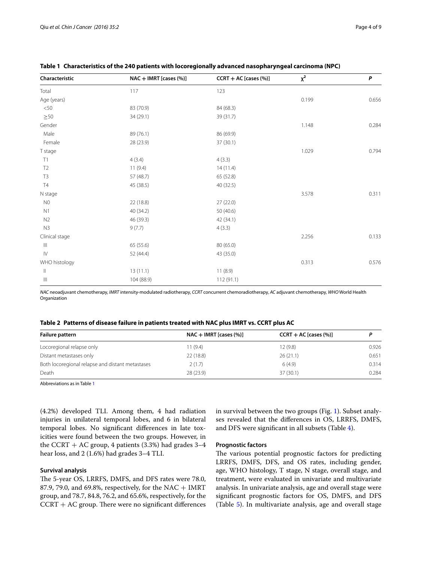| Characteristic                       | NAC + IMRT [cases (%)] | CCRT + AC [cases (%)] | $\chi^2$ | P     |  |
|--------------------------------------|------------------------|-----------------------|----------|-------|--|
| Total                                | 117                    | 123                   |          |       |  |
| Age (years)                          |                        |                       | 0.199    | 0.656 |  |
| < 50                                 | 83 (70.9)              | 84 (68.3)             |          |       |  |
| $\geq 50$                            | 34 (29.1)              | 39 (31.7)             |          |       |  |
| Gender                               |                        |                       | 1.148    | 0.284 |  |
| Male                                 | 89 (76.1)              | 86 (69.9)             |          |       |  |
| Female                               | 28 (23.9)              | 37 (30.1)             |          |       |  |
| T stage                              |                        |                       | 1.029    | 0.794 |  |
| T1                                   | 4(3.4)                 | 4(3.3)                |          |       |  |
| T <sub>2</sub>                       | 11(9.4)                | 14(11.4)              |          |       |  |
| T <sub>3</sub>                       | 57 (48.7)              | 65 (52.8)             |          |       |  |
| T4                                   | 45 (38.5)              | 40 (32.5)             |          |       |  |
| N stage                              |                        |                       | 3.578    | 0.311 |  |
| N <sub>0</sub>                       | 22 (18.8)              | 27 (22.0)             |          |       |  |
| N1                                   | 40 (34.2)              | 50 (40.6)             |          |       |  |
| N2                                   | 46 (39.3)              | 42 (34.1)             |          |       |  |
| N3                                   | 9(7.7)                 | 4(3.3)                |          |       |  |
| Clinical stage                       |                        |                       | 2.256    | 0.133 |  |
| $\  \ $                              | 65 (55.6)              | 80 (65.0)             |          |       |  |
| ${\sf IV}$                           | 52 (44.4)              | 43 (35.0)             |          |       |  |
| WHO histology                        |                        |                       | 0.313    | 0.576 |  |
| $\mid \mid$                          | 13(11.1)               | 11(8.9)               |          |       |  |
| $\left\vert \right\vert \right\vert$ | 104 (88.9)             | 112 (91.1)            |          |       |  |

<span id="page-3-0"></span>

|  |  | Table 1 Characteristics of the 240 patients with locoregionally advanced nasopharyngeal carcinoma (NPC) |  |  |  |  |
|--|--|---------------------------------------------------------------------------------------------------------|--|--|--|--|
|--|--|---------------------------------------------------------------------------------------------------------|--|--|--|--|

*NAC* neoadjuvant chemotherapy, *IMRT* intensity-modulated radiotherapy, *CCRT* concurrent chemoradiotherapy, *AC* adjuvant chemotherapy, *WHO* World Health Organization

<span id="page-3-1"></span>

| Table 2 Patterns of disease failure in patients treated with NAC plus IMRT vs. CCRT plus AC |  |  |  |
|---------------------------------------------------------------------------------------------|--|--|--|
|---------------------------------------------------------------------------------------------|--|--|--|

| $NAC + IMRT$ [cases $%$ )] | $CCRT + AC$ [cases $%$ ] |       |
|----------------------------|--------------------------|-------|
| 11(9.4)                    | 12 (9.8)                 | 0.926 |
| 22 (18.8)                  | 26(21.1)                 | 0.651 |
| 2(1.7)                     | 6(4.9)                   | 0.314 |
| 28 (23.9)                  | 37 (30.1)                | 0.284 |
|                            |                          |       |

Abbreviations as in Table [1](#page-3-0)

(4.2%) developed TLI. Among them, 4 had radiation injuries in unilateral temporal lobes, and 6 in bilateral temporal lobes. No significant differences in late toxicities were found between the two groups. However, in the CCRT + AC group, 4 patients  $(3.3%)$  had grades 3–4 hear loss, and 2 (1.6%) had grades 3–4 TLI.

#### **Survival analysis**

The 5-year OS, LRRFS, DMFS, and DFS rates were 78.0, 87.9, 79.0, and 69.8%, respectively, for the NAC + IMRT group, and 78.7, 84.8, 76.2, and 65.6%, respectively, for the  $CCRT + AC$  group. There were no significant differences in survival between the two groups (Fig. [1](#page-4-1)). Subset analyses revealed that the differences in OS, LRRFS, DMFS, and DFS were significant in all subsets (Table [4\)](#page-5-0).

#### **Prognostic factors**

The various potential prognostic factors for predicting LRRFS, DMFS, DFS, and OS rates, including gender, age, WHO histology, T stage, N stage, overall stage, and treatment, were evaluated in univariate and multivariate analysis. In univariate analysis, age and overall stage were significant prognostic factors for OS, DMFS, and DFS (Table [5\)](#page-5-1). In multivariate analysis, age and overall stage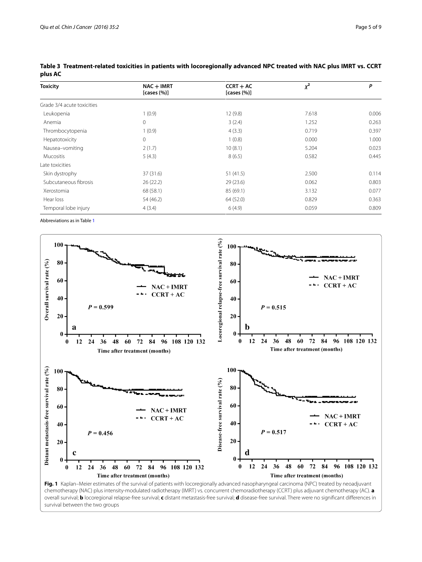| <b>Toxicity</b>            | $NAC + IMRT$<br>[cases $(\%)$ ] | $CCRT + AC$<br>[cases (%)] | $x^2$ | P     |
|----------------------------|---------------------------------|----------------------------|-------|-------|
|                            |                                 |                            |       |       |
| Grade 3/4 acute toxicities |                                 |                            |       |       |
| Leukopenia                 | 1(0.9)                          | 12(9.8)                    | 7.618 | 0.006 |
| Anemia                     | $\mathbf{0}$                    | 3(2.4)                     | 1.252 | 0.263 |
| Thrombocytopenia           | 1(0.9)                          | 4(3.3)                     | 0.719 | 0.397 |
| Hepatotoxicity             | $\mathbf{0}$                    | 1(0.8)                     | 0.000 | 1.000 |
| Nausea-vomiting            | 2(1.7)                          | 10(8.1)                    | 5.204 | 0.023 |
| <b>Mucositis</b>           | 5(4.3)                          | 8(6.5)                     | 0.582 | 0.445 |
| Late toxicities            |                                 |                            |       |       |
| Skin dystrophy             | 37(31.6)                        | 51(41.5)                   | 2.500 | 0.114 |
| Subcutaneous fibrosis      | 26(22.2)                        | 29(23.6)                   | 0.062 | 0.803 |
| Xerostomia                 | 68 (58.1)                       | 85 (69.1)                  | 3.132 | 0.077 |
| Hear loss                  | 54 (46.2)                       | 64 (52.0)                  | 0.829 | 0.363 |
| Temporal lobe injury       | 4(3.4)                          | 6(4.9)                     | 0.059 | 0.809 |

<span id="page-4-0"></span>**Table 3 Treatment-related toxicities in patients with locoregionally advanced NPC treated with NAC plus IMRT vs. CCRT plus AC**

Abbreviations as in Table [1](#page-3-0)



<span id="page-4-1"></span>chemotherapy (NAC) plus intensity-modulated radiotherapy (IMRT) vs. concurrent chemoradiotherapy (CCRT) plus adjuvant chemotherapy (AC). **a** overall survival; **b** locoregional relapse-free survival; **c** distant metastasis-free survival; **d** disease-free survival. There were no significant differences in survival between the two groups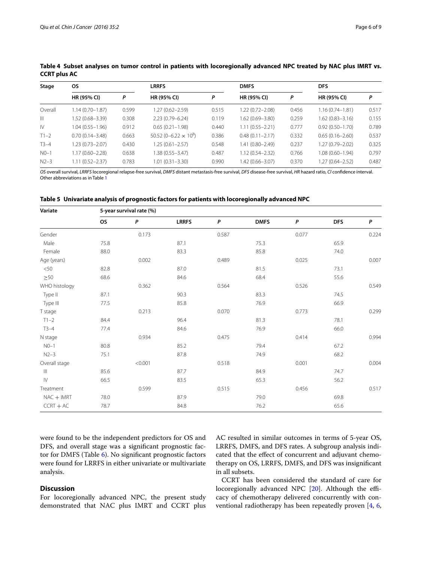| Stage   | os                  |       | LRRFS                                    |       |                     |       | <b>DFS</b>          |       |  |
|---------|---------------------|-------|------------------------------------------|-------|---------------------|-------|---------------------|-------|--|
|         | <b>HR (95% CI)</b>  | P     | <b>HR (95% CI)</b>                       | Ρ     | <b>HR (95% CI)</b>  | Ρ     | <b>HR (95% CI)</b>  | P     |  |
| Overall | 1.14 (0.70–1.87)    | 0.599 | $1.27(0.62 - 2.59)$                      | 0.515 | 1.22 (0.72-2.08)    | 0.456 | $1.16(0.74 - 1.81)$ | 0.517 |  |
| Ш       | 1.52 (0.68–3.39)    | 0.308 | $2.23(0.79 - 6.24)$                      | 0.119 | 1.62 (0.69–3.80)    | 0.259 | $1.62(0.83 - 3.16)$ | 0.155 |  |
| IV.     | 1.04 (0.55–1.96)    | 0.912 | $0.65(0.21 - 1.98)$                      | 0.440 | $1.11(0.55 - 2.21)$ | 0.777 | $0.92(0.50 - 1.70)$ | 0.789 |  |
| $T1-2$  | $0.70(0.14 - 3.48)$ | 0.663 | 50.52 (0-6.22 $\times$ 10 <sup>8</sup> ) | 0.386 | $0.48(0.11 - 2.17)$ | 0.332 | $0.65(0.16 - 2.60)$ | 0.537 |  |
| $T3-4$  | 1.23 (0.73-2.07)    | 0.430 | $1.25(0.61 - 2.57)$                      | 0.548 | 1.41 (0.80-2.49)    | 0.237 | 1.27 (0.79-2.02)    | 0.325 |  |
| $N0-1$  | 1.17 (0.60-2.28)    | 0.638 | $1.38(0.55 - 3.47)$                      | 0.487 | $1.12(0.54 - 2.32)$ | 0.766 | $1.08(0.60 - 1.94)$ | 0.797 |  |
| $N2-3$  | 1.11 (0.52–2.37)    | 0.783 | $1.01(0.31 - 3.30)$                      | 0.990 | 1.42 (0.66-3.07)    | 0.370 | $1.27(0.64 - 2.52)$ | 0.487 |  |

<span id="page-5-0"></span>**Table 4 Subset analyses on tumor control in patients with locoregionally advanced NPC treated by NAC plus IMRT vs. CCRT plus AC**

*OS* overall survival, *LRRFS* locoregional relapse-free survival, *DMFS* distant metastasis-free survival, *DFS* disease-free survival, *HR* hazard ratio, *CI* confidence interval. Other abbreviations as in Table [1](#page-3-0)

<span id="page-5-1"></span>**Table 5 Univariate analysis of prognostic factors for patients with locoregionally advanced NPC**

| Variate       | 5-year survival rate (%) |         |              |       |             |       |            |       |  |
|---------------|--------------------------|---------|--------------|-------|-------------|-------|------------|-------|--|
|               | <b>OS</b>                | P       | <b>LRRFS</b> | P     | <b>DMFS</b> | P     | <b>DFS</b> | P     |  |
| Gender        |                          | 0.173   |              | 0.587 |             | 0.077 |            | 0.224 |  |
| Male          | 75.8                     |         | 87.1         |       | 75.3        |       | 65.9       |       |  |
| Female        | 88.0                     |         | 83.3         |       | 85.8        |       | 74.0       |       |  |
| Age (years)   |                          | 0.002   |              | 0.489 |             | 0.025 |            | 0.007 |  |
| < 50          | 82.8                     |         | 87.0         |       | 81.5        |       | 73.1       |       |  |
| $\geq 50$     | 68.6                     |         | 84.6         |       | 68.4        |       | 55.6       |       |  |
| WHO histology |                          | 0.362   |              | 0.564 |             | 0.526 |            | 0.549 |  |
| Type II       | 87.1                     |         | 90.3         |       | 83.3        |       | 74.5       |       |  |
| Type III      | 77.5                     |         | 85.8         |       | 76.9        |       | 66.9       |       |  |
| T stage       |                          | 0.213   |              | 0.070 |             | 0.773 |            | 0.299 |  |
| $T1 - 2$      | 84.4                     |         | 96.4         |       | 81.3        |       | 78.1       |       |  |
| $T3-4$        | 77.4                     |         | 84.6         |       | 76.9        |       | 66.0       |       |  |
| N stage       |                          | 0.934   |              | 0.475 |             | 0.414 |            | 0.994 |  |
| $NO-1$        | 80.8                     |         | 85.2         |       | 79.4        |       | 67.2       |       |  |
| $N2-3$        | 75.1                     |         | 87.8         |       | 74.9        |       | 68.2       |       |  |
| Overall stage |                          | < 0.001 |              | 0.518 |             | 0.001 |            | 0.004 |  |
| $\  \ $       | 85.6                     |         | 87.7         |       | 84.9        |       | 74.7       |       |  |
| $\mathsf{IV}$ | 66.5                     |         | 83.5         |       | 65.3        |       | 56.2       |       |  |
| Treatment     |                          | 0.599   |              | 0.515 |             | 0.456 |            | 0.517 |  |
| $NAC + IMRT$  | 78.0                     |         | 87.9         |       | 79.0        |       | 69.8       |       |  |
| $CCRT + AC$   | 78.7                     |         | 84.8         |       | 76.2        |       | 65.6       |       |  |

were found to be the independent predictors for OS and DFS, and overall stage was a significant prognostic factor for DMFS (Table [6](#page-6-0)). No significant prognostic factors were found for LRRFS in either univariate or multivariate analysis.

#### **Discussion**

For locoregionally advanced NPC, the present study demonstrated that NAC plus IMRT and CCRT plus AC resulted in similar outcomes in terms of 5-year OS, LRRFS, DMFS, and DFS rates. A subgroup analysis indicated that the effect of concurrent and adjuvant chemotherapy on OS, LRRFS, DMFS, and DFS was insignificant in all subsets.

CCRT has been considered the standard of care for locoregionally advanced NPC [[20\]](#page-8-8). Although the efficacy of chemotherapy delivered concurrently with conventional radiotherapy has been repeatedly proven [\[4](#page-7-3), [6](#page-7-9),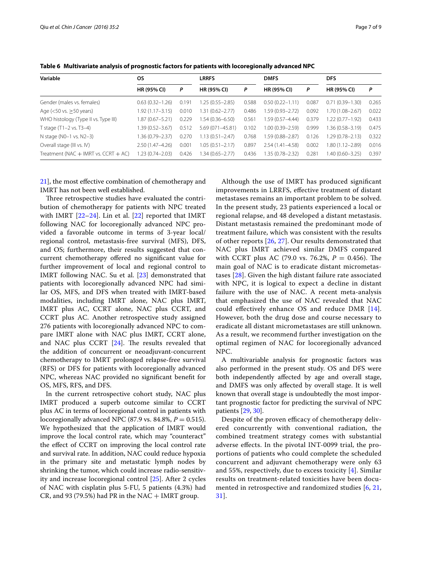| Variable                                 | ΟS                  |       | <b>LRRFS</b>        |       | <b>DMFS</b>         |       | <b>DFS</b>          |       |
|------------------------------------------|---------------------|-------|---------------------|-------|---------------------|-------|---------------------|-------|
|                                          | <b>HR (95% CI)</b>  | P     | HR (95% CI)         | P     | HR (95% CI)         | P     | <b>HR (95% CI)</b>  | P     |
| Gender (males vs. females)               | $0.63(0.32 - 1.26)$ | 0.191 | $1.25(0.55 - 2.85)$ | 0.588 | $0.50(0.22 - 1.11)$ | 0.087 | $0.71(0.39 - 1.30)$ | 0.265 |
| Age $(<50$ vs. $\geq$ 50 years)          | 1.92 (1.17–3.15)    | 0.010 | $1.31(0.62 - 2.77)$ | 0.486 | $1.59(0.93 - 2.72)$ | 0.092 | $.70(1.08 - 2.67)$  | 0.022 |
| WHO histology (Type II vs. Type III)     | 1.87 (0.67-5.21)    | 0.229 | $1.54(0.36 - 6.50)$ | 0.561 | 1.59 (0.57–4.44)    | 0.379 | 1.22 (0.77-1.92)    | 0.433 |
| T stage $(T1-2 \text{ vs. } T3-4)$       | 1.39 (0.52-3.67)    | 0.512 | 5.69 (071-45.81)    | 0.102 | $1.00(0.39 - 2.59)$ | 0.999 | $.36(0.58 - 3.19)$  | 0.475 |
| N stage (N0-1 vs. N2-3)                  | 1.36 (0.79-2.37)    | 0.270 | $1.13(0.51 - 2.47)$ | 0.768 | 1.59 (0.88-2.87)    | 0.126 | 1.29 (0.78-2.13)    | 0.322 |
| Overall stage (III vs. IV)               | $2.50(1.47 - 4.26)$ | 0.001 | $1.05(0.51 - 2.17)$ | 0.897 | $2.54(1.41 - 4.58)$ | 0.002 | 1.80 (1.12-2.89)    | 0.016 |
| Treatment (NAC $+$ IMRT vs. CCRT $+$ AC) | 1.23 (0.74-2.03)    | 0.426 | $1.34(0.65 - 2.77)$ | 0.436 | 1.35 (0.78–2.32)    | 0.281 | 1.40 (0.60-3.25)    | 0.397 |

<span id="page-6-0"></span>**Table 6 Multivariate analysis of prognostic factors for patients with locoregionally advanced NPC**

[21\]](#page-8-9), the most effective combination of chemotherapy and IMRT has not been well established.

Three retrospective studies have evaluated the contribution of chemotherapy for patients with NPC treated with IMRT [\[22](#page-8-10)[–24](#page-8-11)]. Lin et al. [[22\]](#page-8-10) reported that IMRT following NAC for locoregionally advanced NPC provided a favorable outcome in terms of 3-year local/ regional control, metastasis-free survival (MFS), DFS, and OS; furthermore, their results suggested that concurrent chemotherapy offered no significant value for further improvement of local and regional control to IMRT following NAC. Su et al. [\[23](#page-8-12)] demonstrated that patients with locoregionally advanced NPC had similar OS, MFS, and DFS when treated with IMRT-based modalities, including IMRT alone, NAC plus IMRT, IMRT plus AC, CCRT alone, NAC plus CCRT, and CCRT plus AC. Another retrospective study assigned 276 patients with locoregionally advanced NPC to compare IMRT alone with NAC plus IMRT, CCRT alone, and NAC plus CCRT [[24](#page-8-11)]. The results revealed that the addition of concurrent or neoadjuvant-concurrent chemotherapy to IMRT prolonged relapse-free survival (RFS) or DFS for patients with locoregionally advanced NPC, whereas NAC provided no significant benefit for OS, MFS, RFS, and DFS.

In the current retrospective cohort study, NAC plus IMRT produced a superb outcome similar to CCRT plus AC in terms of locoregional control in patients with locoregionally advanced NPC (87.9 vs. 84.8%,  $P = 0.515$ ). We hypothesized that the application of IMRT would improve the local control rate, which may "counteract" the effect of CCRT on improving the local control rate and survival rate. In addition, NAC could reduce hypoxia in the primary site and metastatic lymph nodes by shrinking the tumor, which could increase radio-sensitivity and increase locoregional control [\[25\]](#page-8-13). After 2 cycles of NAC with cisplatin plus 5-FU, 5 patients (4.3%) had CR, and 93 (79.5%) had PR in the NAC  $+$  IMRT group.

Although the use of IMRT has produced significant improvements in LRRFS, effective treatment of distant metastases remains an important problem to be solved. In the present study, 23 patients experienced a local or regional relapse, and 48 developed a distant metastasis. Distant metastasis remained the predominant mode of treatment failure, which was consistent with the results of other reports [\[26](#page-8-14), [27](#page-8-15)]. Our results demonstrated that NAC plus IMRT achieved similar DMFS compared with CCRT plus AC (79.0 vs. 76.2%, *P* = 0.456). The main goal of NAC is to eradicate distant micrometastases [\[28\]](#page-8-16). Given the high distant failure rate associated with NPC, it is logical to expect a decline in distant failure with the use of NAC. A recent meta-analysis that emphasized the use of NAC revealed that NAC could effectively enhance OS and reduce DMR [[14](#page-8-2)]. However, both the drug dose and course necessary to eradicate all distant micrometastases are still unknown. As a result, we recommend further investigation on the optimal regimen of NAC for locoregionally advanced NPC.

A multivariable analysis for prognostic factors was also performed in the present study. OS and DFS were both independently affected by age and overall stage, and DMFS was only affected by overall stage. It is well known that overall stage is undoubtedly the most important prognostic factor for predicting the survival of NPC patients [[29,](#page-8-17) [30](#page-8-18)].

Despite of the proven efficacy of chemotherapy delivered concurrently with conventional radiation, the combined treatment strategy comes with substantial adverse effects. In the pivotal INT-0099 trial, the proportions of patients who could complete the scheduled concurrent and adjuvant chemotherapy were only 63 and 55%, respectively, due to excess toxicity [[4](#page-7-3)]. Similar results on treatment-related toxicities have been documented in retrospective and randomized studies [[6](#page-7-9), [21](#page-8-9), [31\]](#page-8-19).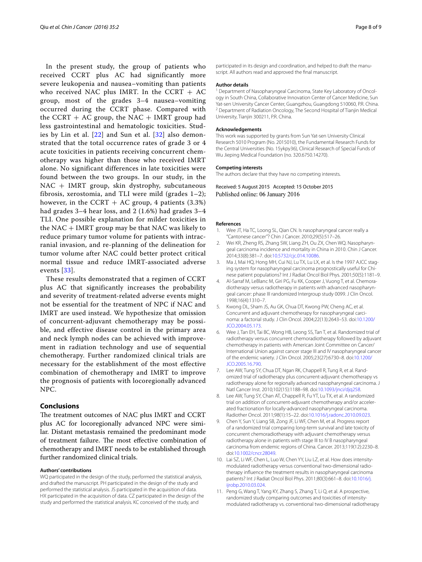In the present study, the group of patients who received CCRT plus AC had significantly more severe leukopenia and nausea–vomiting than patients who received NAC plus IMRT. In the CCRT  $+$  AC group, most of the grades 3–4 nausea–vomiting occurred during the CCRT phase. Compared with the CCRT  $+$  AC group, the NAC  $+$  IMRT group had less gastrointestinal and hematologic toxicities. Studies by Lin et al. [[22](#page-8-10)] and Sun et al. [\[32\]](#page-8-20) also demonstrated that the total occurrence rates of grade 3 or 4 acute toxicities in patients receiving concurrent chemotherapy was higher than those who received IMRT alone. No significant differences in late toxicities were found between the two groups. In our study, in the NAC + IMRT group, skin dystrophy, subcutaneous fibrosis, xerostomia, and TLI were mild (grades 1–2); however, in the CCRT +  $AC$  group, 4 patients (3.3%) had grades 3–4 hear loss, and 2 (1.6%) had grades 3–4 TLI. One possible explanation for milder toxicities in the NAC  $+$  IMRT group may be that NAC was likely to reduce primary tumor volume for patients with intracranial invasion, and re-planning of the delineation for tumor volume after NAC could better protect critical normal tissue and reduce IMRT-associated adverse events [[33](#page-8-21)].

These results demonstrated that a regimen of CCRT plus AC that significantly increases the probability and severity of treatment-related adverse events might not be essential for the treatment of NPC if NAC and IMRT are used instead. We hypothesize that omission of concurrent-adjuvant chemotherapy may be possible, and effective disease control in the primary area and neck lymph nodes can be achieved with improvement in radiation technology and use of sequential chemotherapy. Further randomized clinical trials are necessary for the establishment of the most effective combination of chemotherapy and IMRT to improve the prognosis of patients with locoregionally advanced NPC.

#### **Conclusions**

The treatment outcomes of NAC plus IMRT and CCRT plus AC for locoregionally advanced NPC were similar. Distant metastasis remained the predominant mode of treatment failure. The most effective combination of chemotherapy and IMRT needs to be established through further randomized clinical trials.

#### **Authors' contributions**

WQ participated in the design of the study, performed the statistical analysis, and drafted the manuscript. PH participated in the design of the study and performed the statistical analysis. JS participated in the acquisition of data. HX participated in the acquisition of data. CZ participated in the design of the study and performed the statistical analysis. KC conceived of the study, and

participated in its design and coordination, and helped to draft the manu‑ script. All authors read and approved the final manuscript.

#### **Author details**

<sup>1</sup> Department of Nasopharyngeal Carcinoma, State Key Laboratory of Oncology in South China, Collaborative Innovation Center of Cancer Medicine, Sun Yat-sen University Cancer Center, Guangzhou, Guangdong 510060, P.R. China.<br><sup>2</sup> Department of Radiation Oncology, The Second Hospital of Tianjin Medical University, Tianjin 300211, P.R. China.

#### **Acknowledgements**

This work was supported by grants from Sun Yat-sen University Clinical Research 5010 Program (No. 2015010), the Fundamental Research Funds for the Central Universities (No. 15ykpy36), Clinical Research of Special Funds of Wu Jieping Medical Foundation (no. 320.6750.14270).

#### **Competing interests**

The authors declare that they have no competing interests.

#### Received: 5 August 2015 Accepted: 15 October 2015 Published online: 06 January 2016

#### **References**

- <span id="page-7-0"></span>Wee JT, Ha TC, Loong SL, Qian CN. Is nasopharyngeal cancer really a "Cantonese cancer"? Chin J Cancer. 2010;29(5):517–26.
- <span id="page-7-1"></span>2. Wei KR, Zheng RS, Zhang SW, Liang ZH, Ou ZX, Chen WQ. Nasopharyngeal carcinoma incidence and mortality in China in 2010. Chin J Cancer. 2014;33(8):381–7. doi[:10.5732/cjc.014.10086](http://dx.doi.org/10.5732/cjc.014.10086).
- <span id="page-7-2"></span>3. Ma J, Mai HQ, Hong MH, Cui NJ, Lu TX, Lu LX, et al. Is the 1997 AJCC staging system for nasopharyngeal carcinoma prognostically useful for Chinese patient populations? Int J Radiat Oncol Biol Phys. 2001;50(5):1181–9.
- <span id="page-7-3"></span>Al-Sarraf M, LeBlanc M, Giri PG, Fu KK, Cooper J, Vuong T, et al. Chemoradiotherapy versus radiotherapy in patients with advanced nasopharyngeal cancer: phase III randomized Intergroup study 0099. J Clin Oncol. 1998;16(4):1310–7.
- <span id="page-7-4"></span>5. Kwong DL, Sham JS, Au GK, Chua DT, Kwong PW, Cheng AC, et al. Concurrent and adjuvant chemotherapy for nasopharyngeal carcinoma: a factorial study. J Clin Oncol. 2004;22(13):2643–53. doi:[10.1200/](http://dx.doi.org/10.1200/JCO.2004.05.173) [JCO.2004.05.173](http://dx.doi.org/10.1200/JCO.2004.05.173).
- <span id="page-7-9"></span>6. Wee J, Tan EH, Tai BC, Wong HB, Leong SS, Tan T, et al. Randomized trial of radiotherapy versus concurrent chemoradiotherapy followed by adjuvant chemotherapy in patients with American Joint Committee on Cancer/ International Union against cancer stage III and IV nasopharyngeal cancer of the endemic variety. J Clin Oncol. 2005;23(27):6730–8. doi:[10.1200/](http://dx.doi.org/10.1200/JCO.2005.16.790) [JCO.2005.16.790](http://dx.doi.org/10.1200/JCO.2005.16.790).
- <span id="page-7-7"></span>7. Lee AW, Tung SY, Chua DT, Ngan RK, Chappell R, Tung R, et al. Randomized trial of radiotherapy plus concurrent-adjuvant chemotherapy vs radiotherapy alone for regionally advanced nasopharyngeal carcinoma. J Natl Cancer Inst. 2010;102(15):1188–98. doi:[10.1093/jnci/djq258.](http://dx.doi.org/10.1093/jnci/djq258)
- 8. Lee AW, Tung SY, Chan AT, Chappell R, Fu YT, Lu TX, et al. A randomized trial on addition of concurrent-adjuvant chemotherapy and/or accelerated fractionation for locally-advanced nasopharyngeal carcinoma. Radiother Oncol. 2011;98(1):15–22. doi:[10.1016/j.radonc.2010.09.023](http://dx.doi.org/10.1016/j.radonc.2010.09.023).
- <span id="page-7-5"></span>9. Chen Y, Sun Y, Liang SB, Zong JF, Li WF, Chen M, et al. Progress report of a randomized trial comparing long-term survival and late toxicity of concurrent chemoradiotherapy with adjuvant chemotherapy versus radiotherapy alone in patients with stage III to IV B nasopharyngeal carcinoma from endemic regions of China. Cancer. 2013;119(12):2230–8. doi:[10.1002/cncr.28049.](http://dx.doi.org/10.1002/cncr.28049)
- <span id="page-7-6"></span>10. Lai SZ, Li WF, Chen L, Luo W, Chen YY, Liu LZ, et al. How does intensitymodulated radiotherapy versus conventional two-dimensional radio‑ therapy influence the treatment results in nasopharyngeal carcinoma patients? Int J Radiat Oncol Biol Phys. 2011;80(3):661–8. doi:[10.1016/j.](http://dx.doi.org/10.1016/j.ijrobp.2010.03.024) [ijrobp.2010.03.024](http://dx.doi.org/10.1016/j.ijrobp.2010.03.024).
- <span id="page-7-8"></span>11. Peng G, Wang T, Yang KY, Zhang S, Zhang T, Li Q, et al. A prospective, randomized study comparing outcomes and toxicities of intensitymodulated radiotherapy vs. conventional two-dimensional radiotherapy